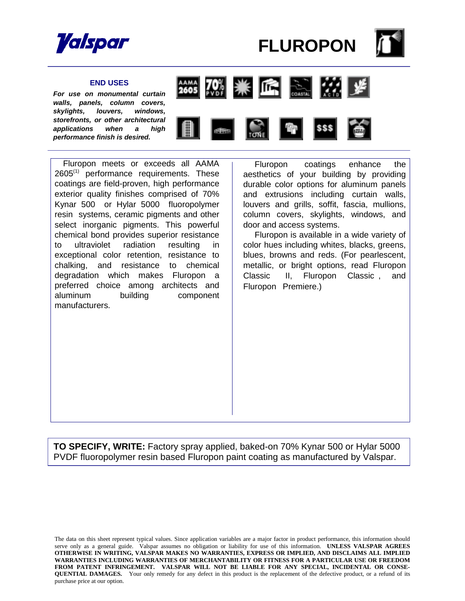



### **END USES**

*For use on monumental curtain walls, panels, column covers, skylights, louvers, windows, storefronts, or other architectural applications when a high performance finish is desired.* 



 Fluropon meets or exceeds all AAMA  $2605^{(1)}$  performance requirements. These coatings are field-proven, high performance exterior quality finishes comprised of 70% Kynar  $500^\circ$  or Hylar  $5000^\circ$  fluoropolymer resin systems, ceramic pigments and other select inorganic pigments. This powerful chemical bond provides superior resistance to ultraviolet radiation resulting in exceptional color retention, resistance to chalking, and resistance to chemical degradation which makes Fluropon a preferred choice among architects and aluminum building component manufacturers.

Fluropon $<sup>®</sup>$  coatings enhance the</sup> aesthetics of your building by providing durable color options for aluminum panels and extrusions including curtain walls, louvers and grills, soffit, fascia, mullions, column covers, skylights, windows, and door and access systems.

 Fluropon is available in a wide variety of color hues including whites, blacks, greens, blues, browns and reds. (For pearlescent, metallic, or bright options, read Fluropon  $Classic^{\circledast}$  II, Fluropon Classic<sup>®</sup>, and Fluropon<sup>®</sup> Premiere.)

**TO SPECIFY, WRITE:** Factory spray applied, baked-on 70% Kynar 500 or Hylar 5000 PVDF fluoropolymer resin based Fluropon paint coating as manufactured by Valspar.

The data on this sheet represent typical values. Since application variables are a major factor in product performance, this information should serve only as a general guide. Valspar assumes no obligation or liability for use of this information. **UNLESS VALSPAR AGREES OTHERWISE IN WRITING, VALSPAR MAKES NO WARRANTIES, EXPRESS OR IMPLIED, AND DISCLAIMS ALL IMPLIED WARRANTIES INCLUDING WARRANTIES OF MERCHANTABILITY OR FITNESS FOR A PARTICULAR USE OR FREEDOM**  FROM PATENT INFRINGEMENT. VALSPAR WILL NOT BE LIABLE FOR ANY SPECIAL, INCIDENTAL OR CONSE-**QUENTIAL DAMAGES.** Your only remedy for any defect in this product is the replacement of the defective product, or a refund of its purchase price at our option.